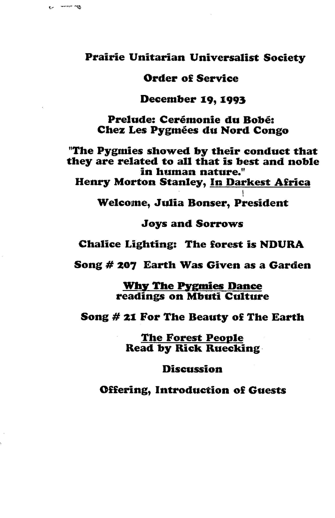## Prairie Unitarian Universalist Society

## Order of Service

December **19, 1993** 

Prelude: Cerémonie du Bobé: Chez Les Pygmées du Nord Congo

"The Pygmies showed by their conduct that they are related to all that is best and noble in human nature." Henry Morton Stanley, In Darkest Africa

Welcome, Julia Bonser, President

Joys and Sorrows

Chalice Lighting: The forest is NDURA

Song # 207 Earth Was Given as a Garden

Why The Pygmies Dance readings on Mbuti Culture

Song # 21 For The Beauty of The Earth

The Forest People Read by Rick Ruecking · Discussion

Offering, Introduction of Guests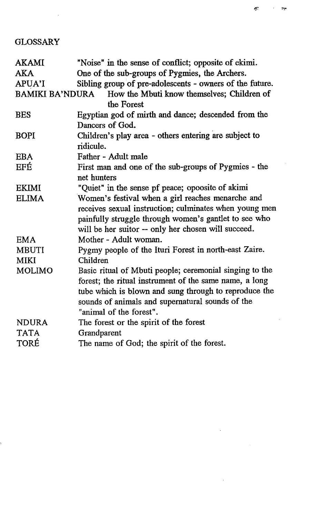## GLOSSARY

ł.

 $\sim$   $\alpha$ 

| <b>AKAMI</b>           | "Noise" in the sense of conflict; opposite of ekimi.     |
|------------------------|----------------------------------------------------------|
| <b>AKA</b>             | One of the sub-groups of Pygmies, the Archers.           |
| <b>APUA'I</b>          | Sibling group of pre-adolescents - owners of the future. |
| <b>BAMIKI BA'NDURA</b> | How the Mbuti know themselves; Children of               |
|                        | the Forest                                               |
| <b>BES</b>             | Egyptian god of mirth and dance; descended from the      |
|                        | Dancers of God.                                          |
| <b>BOPI</b>            | Children's play area - others entering are subject to    |
|                        | ridicule.                                                |
| <b>EBA</b>             | Father - Adult male                                      |
| EFÉ                    | First man and one of the sub-groups of Pygmies - the     |
|                        | net hunters                                              |
| <b>EKIMI</b>           | "Quiet" in the sense pf peace; opoosite of akimi         |
| <b>ELIMA</b>           | Women's festival when a girl reaches menarche and        |
|                        | receives sexual instruction; culminates when young men   |
|                        | painfully struggle through women's gantlet to see who    |
|                        | will be her suitor -- only her chosen will succeed.      |
| <b>EMA</b>             | Mother - Adult woman.                                    |
| <b>MBUTI</b>           | Pygmy people of the Ituri Forest in north-east Zaire.    |
| MIKI                   | Children                                                 |
| <b>MOLIMO</b>          | Basic ritual of Mbuti people; ceremonial singing to the  |
|                        | forest; the ritual instrument of the same name, a long   |
|                        | tube which is blown and sung through to reproduce the    |
|                        | sounds of animals and supernatural sounds of the         |
|                        | "animal of the forest".                                  |
| <b>NDURA</b>           | The forest or the spirit of the forest                   |
| <b>TATA</b>            | Grandparent                                              |
| TORÉ                   | The name of God; the spirit of the forest.               |

Ñ,

 $\label{eq:1} \mathbf{X} = \mathbf{X} \mathbf{X} + \mathbf{X} \mathbf{X} + \mathbf{X} \mathbf{X} + \mathbf{X} \mathbf{X} + \mathbf{X} \mathbf{X} + \mathbf{X} \mathbf{X} + \mathbf{X} \mathbf{X} + \mathbf{X} \mathbf{X} + \mathbf{X} \mathbf{X} + \mathbf{X} \mathbf{X} + \mathbf{X} \mathbf{X} + \mathbf{X} \mathbf{X} + \mathbf{X} \mathbf{X} + \mathbf{X} \mathbf{X} + \mathbf{X} \mathbf{X} + \mathbf{X} \mathbf{X$ 

 $\bar{\gamma}$ 

 $\overline{ }$